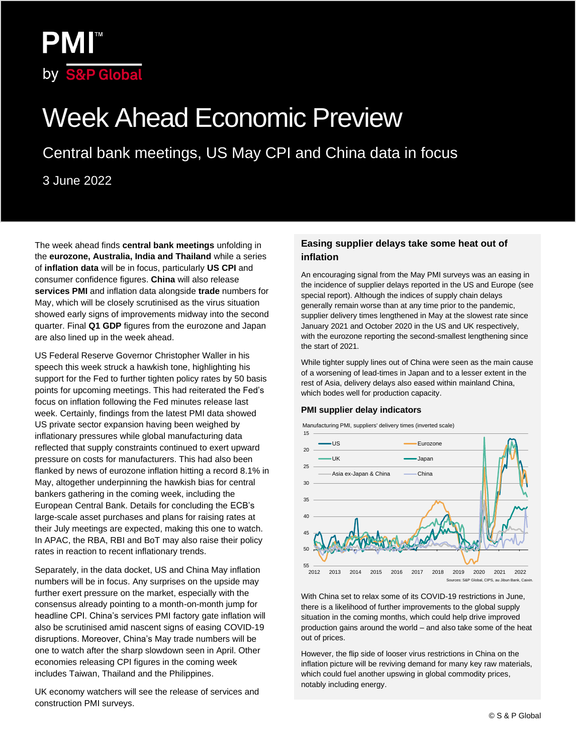

# Week Ahead Economic Preview

Central bank meetings, US May CPI and China data in focus

3 June 2022

The week ahead finds **central bank meetings** unfolding in the **eurozone, Australia, India and Thailand** while a series of **inflation data** will be in focus, particularly **US CPI** and consumer confidence figures. **China** will also release **services PMI** and inflation data alongside **trade** numbers for May, which will be closely scrutinised as the virus situation showed early signs of improvements midway into the second quarter. Final **Q1 GDP** figures from the eurozone and Japan are also lined up in the week ahead.

US Federal Reserve Governor Christopher Waller in his speech this week struck a hawkish tone, highlighting his support for the Fed to further tighten policy rates by 50 basis points for upcoming meetings. This had reiterated the Fed's focus on inflation following the Fed minutes release last week. Certainly, findings from the latest PMI data showed US private sector expansion having been weighed by inflationary pressures while global manufacturing data reflected that supply constraints continued to exert upward pressure on costs for manufacturers. This had also been flanked by news of eurozone inflation hitting a record 8.1% in May, altogether underpinning the hawkish bias for central bankers gathering in the coming week, including the European Central Bank. Details for concluding the ECB's large-scale asset purchases and plans for raising rates at their July meetings are expected, making this one to watch. In APAC, the RBA, RBI and BoT may also raise their policy rates in reaction to recent inflationary trends.

Separately, in the data docket, US and China May inflation numbers will be in focus. Any surprises on the upside may further exert pressure on the market, especially with the consensus already pointing to a month-on-month jump for headline CPI. China's services PMI factory gate inflation will also be scrutinised amid nascent signs of easing COVID-19 disruptions. Moreover, China's May trade numbers will be one to watch after the sharp slowdown seen in April. Other economies releasing CPI figures in the coming week includes Taiwan, Thailand and the Philippines.

UK economy watchers will see the release of services and construction PMI surveys.

#### **Easing supplier delays take some heat out of inflation**

An encouraging signal from the May PMI surveys was an easing in the incidence of supplier delays reported in the US and Europe (see special report). Although the indices of supply chain delays generally remain worse than at any time prior to the pandemic, supplier delivery times lengthened in May at the slowest rate since January 2021 and October 2020 in the US and UK respectively, with the eurozone reporting the second-smallest lengthening since the start of 2021.

While tighter supply lines out of China were seen as the main cause of a worsening of lead-times in Japan and to a lesser extent in the rest of Asia, delivery delays also eased within mainland China, which bodes well for production capacity.

#### **PMI supplier delay indicators**



Manufacturing PMI, suppliers' delivery times (inverted scale)



With China set to relax some of its COVID-19 restrictions in June, there is a likelihood of further improvements to the global supply situation in the coming months, which could help drive improved production gains around the world – and also take some of the heat out of prices.

However, the flip side of looser virus restrictions in China on the inflation picture will be reviving demand for many key raw materials, which could fuel another upswing in global commodity prices, notably including energy.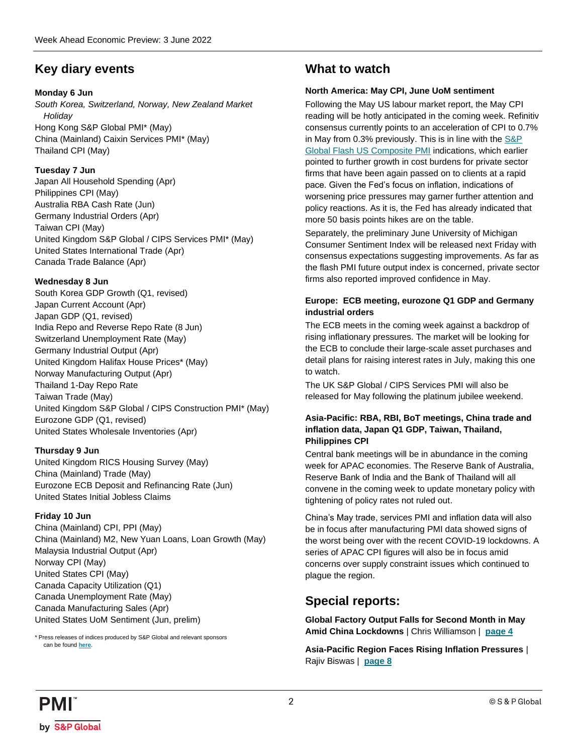### **Key diary events**

### **Monday 6 Jun**

*South Korea, Switzerland, Norway, New Zealand Market Holiday* Hong Kong S&P Global PMI\* (May) China (Mainland) Caixin Services PMI\* (May) Thailand CPI (May)

### **Tuesday 7 Jun**

Japan All Household Spending (Apr) Philippines CPI (May) Australia RBA Cash Rate (Jun) Germany Industrial Orders (Apr) Taiwan CPI (May) United Kingdom S&P Global / CIPS Services PMI\* (May) United States International Trade (Apr) Canada Trade Balance (Apr)

### **Wednesday 8 Jun**

South Korea GDP Growth (Q1, revised) Japan Current Account (Apr) Japan GDP (Q1, revised) India Repo and Reverse Repo Rate (8 Jun) Switzerland Unemployment Rate (May) Germany Industrial Output (Apr) United Kingdom Halifax House Prices\* (May) Norway Manufacturing Output (Apr) Thailand 1-Day Repo Rate Taiwan Trade (May) United Kingdom S&P Global / CIPS Construction PMI\* (May) Eurozone GDP (Q1, revised) United States Wholesale Inventories (Apr)

### **Thursday 9 Jun**

United Kingdom RICS Housing Survey (May) China (Mainland) Trade (May) Eurozone ECB Deposit and Refinancing Rate (Jun) United States Initial Jobless Claims

### **Friday 10 Jun**

China (Mainland) CPI, PPI (May) China (Mainland) M2, New Yuan Loans, Loan Growth (May) Malaysia Industrial Output (Apr) Norway CPI (May) United States CPI (May) Canada Capacity Utilization (Q1) Canada Unemployment Rate (May) Canada Manufacturing Sales (Apr) United States UoM Sentiment (Jun, prelim)

\* Press releases of indices produced by S&P Global and relevant sponsors can be found **[here](https://www.markiteconomics.com/Public/Release/PressReleases)**.

### **What to watch**

### **North America: May CPI, June UoM sentiment**

Following the May US labour market report, the May CPI reading will be hotly anticipated in the coming week. Refinitiv consensus currently points to an acceleration of CPI to 0.7% in May from 0.3% previously. This is in line with th[e S&P](https://www.pmi.spglobal.com/Public/Home/PressRelease/b669b93cb25f4270952e1d9a03be464e)  [Global Flash US Composite PMI](https://www.pmi.spglobal.com/Public/Home/PressRelease/b669b93cb25f4270952e1d9a03be464e) indications, which earlier pointed to further growth in cost burdens for private sector firms that have been again passed on to clients at a rapid pace. Given the Fed's focus on inflation, indications of worsening price pressures may garner further attention and policy reactions. As it is, the Fed has already indicated that more 50 basis points hikes are on the table.

Separately, the preliminary June University of Michigan Consumer Sentiment Index will be released next Friday with consensus expectations suggesting improvements. As far as the flash PMI future output index is concerned, private sector firms also reported improved confidence in May.

### **Europe: ECB meeting, eurozone Q1 GDP and Germany industrial orders**

The ECB meets in the coming week against a backdrop of rising inflationary pressures. The market will be looking for the ECB to conclude their large-scale asset purchases and detail plans for raising interest rates in July, making this one to watch.

The UK S&P Global / CIPS Services PMI will also be released for May following the platinum jubilee weekend.

### **Asia-Pacific: RBA, RBI, BoT meetings, China trade and inflation data, Japan Q1 GDP, Taiwan, Thailand, Philippines CPI**

Central bank meetings will be in abundance in the coming week for APAC economies. The Reserve Bank of Australia, Reserve Bank of India and the Bank of Thailand will all convene in the coming week to update monetary policy with tightening of policy rates not ruled out.

China's May trade, services PMI and inflation data will also be in focus after manufacturing PMI data showed signs of the worst being over with the recent COVID-19 lockdowns. A series of APAC CPI figures will also be in focus amid concerns over supply constraint issues which continued to plague the region.

### **Special reports:**

**Global Factory Output Falls for Second Month in May Amid China Lockdowns** | Chris Williamson | **[page 4](#page-3-0)**

**Asia-Pacific Region Faces Rising Inflation Pressures** | Rajiv Biswas | **[page 8](#page-7-0)**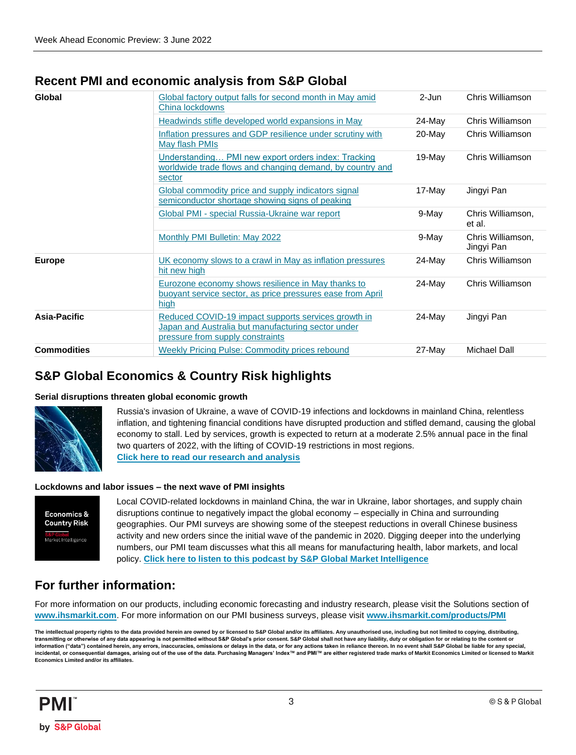### **Recent PMI and economic analysis from S&P Global**

| Chris Williamson<br>Global factory output falls for second month in May amid<br>2-Jun<br>China lockdowns<br>Headwinds stifle developed world expansions in May<br>24-May<br>Chris Williamson<br>Inflation pressures and GDP resilience under scrutiny with<br>20-May<br>Chris Williamson<br>May flash PMIs<br>19-May<br>Chris Williamson<br>Understanding PMI new export orders index: Tracking<br>worldwide trade flows and changing demand, by country and<br>sector<br>Global commodity price and supply indicators signal<br>Jingyi Pan<br>17-May<br>semiconductor shortage showing signs of peaking<br>Global PMI - special Russia-Ukraine war report<br>9-May<br>Chris Williamson,<br>et al.<br>Monthly PMI Bulletin: May 2022<br>9-May<br>Chris Williamson,<br>Jingyi Pan<br>UK economy slows to a crawl in May as inflation pressures<br>$24$ -May<br>Chris Williamson<br>hit new high<br>Eurozone economy shows resilience in May thanks to<br>Chris Williamson<br>24-May<br>buoyant service sector, as price pressures ease from April<br>high<br>Asia-Pacific<br>Reduced COVID-19 impact supports services growth in<br>24-May<br>Jingyi Pan<br>Japan and Australia but manufacturing sector under<br>pressure from supply constraints<br><b>Commodities</b><br><b>Weekly Pricing Pulse: Commodity prices rebound</b><br>27-May<br>Michael Dall |               |  |  |
|------------------------------------------------------------------------------------------------------------------------------------------------------------------------------------------------------------------------------------------------------------------------------------------------------------------------------------------------------------------------------------------------------------------------------------------------------------------------------------------------------------------------------------------------------------------------------------------------------------------------------------------------------------------------------------------------------------------------------------------------------------------------------------------------------------------------------------------------------------------------------------------------------------------------------------------------------------------------------------------------------------------------------------------------------------------------------------------------------------------------------------------------------------------------------------------------------------------------------------------------------------------------------------------------------------------------------------------------------------|---------------|--|--|
|                                                                                                                                                                                                                                                                                                                                                                                                                                                                                                                                                                                                                                                                                                                                                                                                                                                                                                                                                                                                                                                                                                                                                                                                                                                                                                                                                            | Global        |  |  |
|                                                                                                                                                                                                                                                                                                                                                                                                                                                                                                                                                                                                                                                                                                                                                                                                                                                                                                                                                                                                                                                                                                                                                                                                                                                                                                                                                            |               |  |  |
|                                                                                                                                                                                                                                                                                                                                                                                                                                                                                                                                                                                                                                                                                                                                                                                                                                                                                                                                                                                                                                                                                                                                                                                                                                                                                                                                                            |               |  |  |
|                                                                                                                                                                                                                                                                                                                                                                                                                                                                                                                                                                                                                                                                                                                                                                                                                                                                                                                                                                                                                                                                                                                                                                                                                                                                                                                                                            |               |  |  |
|                                                                                                                                                                                                                                                                                                                                                                                                                                                                                                                                                                                                                                                                                                                                                                                                                                                                                                                                                                                                                                                                                                                                                                                                                                                                                                                                                            |               |  |  |
|                                                                                                                                                                                                                                                                                                                                                                                                                                                                                                                                                                                                                                                                                                                                                                                                                                                                                                                                                                                                                                                                                                                                                                                                                                                                                                                                                            |               |  |  |
|                                                                                                                                                                                                                                                                                                                                                                                                                                                                                                                                                                                                                                                                                                                                                                                                                                                                                                                                                                                                                                                                                                                                                                                                                                                                                                                                                            |               |  |  |
|                                                                                                                                                                                                                                                                                                                                                                                                                                                                                                                                                                                                                                                                                                                                                                                                                                                                                                                                                                                                                                                                                                                                                                                                                                                                                                                                                            | <b>Europe</b> |  |  |
|                                                                                                                                                                                                                                                                                                                                                                                                                                                                                                                                                                                                                                                                                                                                                                                                                                                                                                                                                                                                                                                                                                                                                                                                                                                                                                                                                            |               |  |  |
|                                                                                                                                                                                                                                                                                                                                                                                                                                                                                                                                                                                                                                                                                                                                                                                                                                                                                                                                                                                                                                                                                                                                                                                                                                                                                                                                                            |               |  |  |
|                                                                                                                                                                                                                                                                                                                                                                                                                                                                                                                                                                                                                                                                                                                                                                                                                                                                                                                                                                                                                                                                                                                                                                                                                                                                                                                                                            |               |  |  |

### **S&P Global Economics & Country Risk highlights**

### **Serial disruptions threaten global economic growth**



Russia's invasion of Ukraine, a wave of COVID-19 infections and lockdowns in mainland China, relentless inflation, and tightening financial conditions have disrupted production and stifled demand, causing the global economy to stall. Led by services, growth is expected to return at a moderate 2.5% annual pace in the final two quarters of 2022, with the lifting of COVID-19 restrictions in most regions. **[Click here to read our research and analysis](https://ihsmarkit.com/research-analysis/serial-disruptions-threaten-global-economic-growth.html)**

### **Lockdowns and labor issues – the next wave of PMI insights**



Local COVID-related lockdowns in mainland China, the war in Ukraine, labor shortages, and supply chain disruptions continue to negatively impact the global economy – especially in China and surrounding geographies. Our PMI surveys are showing some of the steepest reductions in overall Chinese business activity and new orders since the initial wave of the pandemic in 2020. Digging deeper into the underlying numbers, our PMI team discusses what this all means for manufacturing health, labor markets, and local policy. **[Click here to listen to this podcast by S&P Global Market Intelligence](https://soundcloud.com/user-181651373/lockdowns-and-labor-issues-the-next-wave-of-pmi-insights)**

### **For further information:**

For more information on our products, including economic forecasting and industry research, please visit the Solutions section of **[www.ihsmarkit.com](http://www.ihsmarkit.com/)**. For more information on our PMI business surveys, please visit **[www.ihsmarkit.com/products/PMI](http://www.ihsmarkit.com/products/PMI)**

The intellectual property rights to the data provided herein are owned by or licensed to S&P Global and/or its affiliates. Any unauthorised use, including but not limited to copying, distributing, **transmitting or otherwise of any data appearing is not permitted without S&P Global's prior consent. S&P Global shall not have any liability, duty or obligation for or relating to the content or information ("data") contained herein, any errors, inaccuracies, omissions or delays in the data, or for any actions taken in reliance thereon. In no event shall S&P Global be liable for any special,**  incidental, or consequential damages, arising out of the use of the data. Purchasing Managers' Index™ and PMI™ are either registered trade marks of Markit Economics Limited or licensed to Markit **Economics Limited and/or its affiliates.**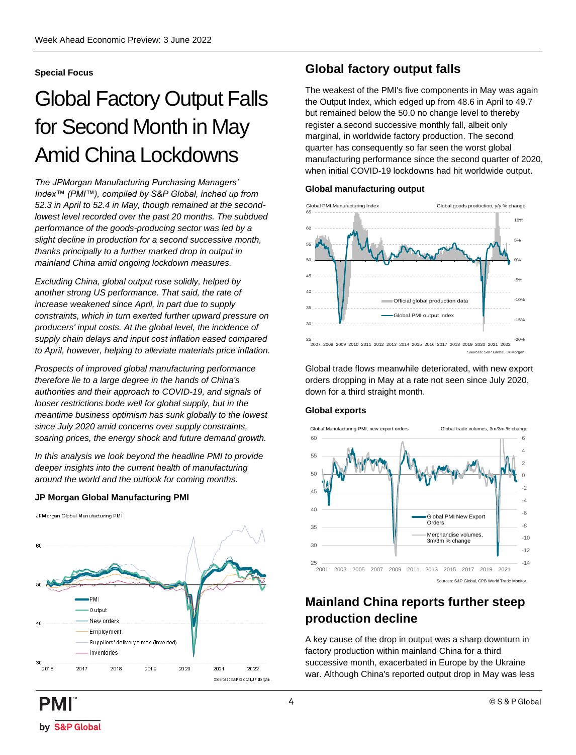### <span id="page-3-0"></span>**Special Focus**

## Global Factory Output Falls for Second Month in May Amid China Lockdowns

*The JPMorgan Manufacturing Purchasing Managers' Index™ (PMI™), compiled by S&P Global, inched up from 52.3 in April to 52.4 in May, though remained at the secondlowest level recorded over the past 20 months. The subdued performance of the goods-producing sector was led by a slight decline in production for a second successive month, thanks principally to a further marked drop in output in mainland China amid ongoing lockdown measures.* 

*Excluding China, global output rose solidly, helped by another strong US performance. That said, the rate of increase weakened since April, in part due to supply constraints, which in turn exerted further upward pressure on producers' input costs. At the global level, the incidence of supply chain delays and input cost inflation eased compared to April, however, helping to alleviate materials price inflation.*

*Prospects of improved global manufacturing performance therefore lie to a large degree in the hands of China's authorities and their approach to COVID-19, and signals of looser restrictions bode well for global supply, but in the meantime business optimism has sunk globally to the lowest since July 2020 amid concerns over supply constraints, soaring prices, the energy shock and future demand growth.*

*In this analysis we look beyond the headline PMI to provide deeper insights into the current health of manufacturing around the world and the outlook for coming months.*

### **JP Morgan Global Manufacturing PMI**



### **Global factory output falls**

The weakest of the PMI's five components in May was again the Output Index, which edged up from 48.6 in April to 49.7 but remained below the 50.0 no change level to thereby register a second successive monthly fall, albeit only marginal, in worldwide factory production. The second quarter has consequently so far seen the worst global manufacturing performance since the second quarter of 2020, when initial COVID-19 lockdowns had hit worldwide output.

#### **Global manufacturing output**



Global trade flows meanwhile deteriorated, with new export orders dropping in May at a rate not seen since July 2020, down for a third straight month.

#### **Global exports**



### **Mainland China reports further steep production decline**

A key cause of the drop in output was a sharp downturn in factory production within mainland China for a third successive month, exacerbated in Europe by the Ukraine war. Although China's reported output drop in May was less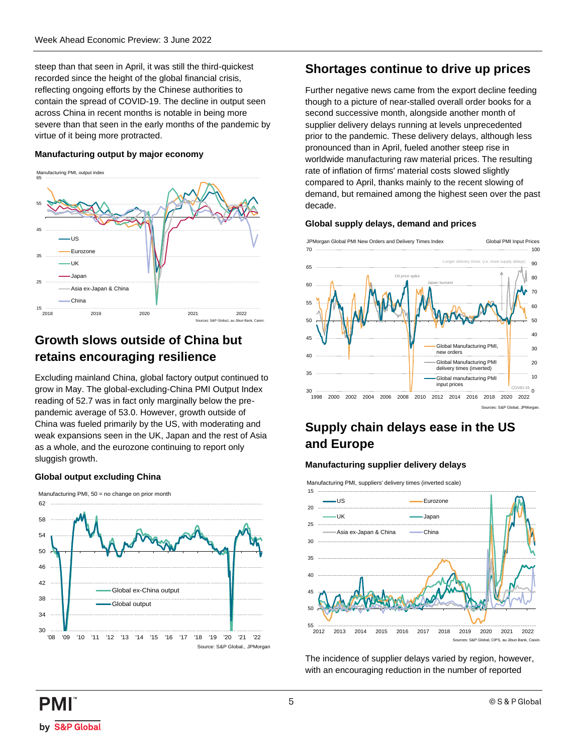steep than that seen in April, it was still the third-quickest recorded since the height of the global financial crisis, reflecting ongoing efforts by the Chinese authorities to contain the spread of COVID-19. The decline in output seen across China in recent months is notable in being more severe than that seen in the early months of the pandemic by virtue of it being more protracted.

#### **Manufacturing output by major economy**



### **Growth slows outside of China but retains encouraging resilience**

Excluding mainland China, global factory output continued to grow in May. The global-excluding-China PMI Output Index reading of 52.7 was in fact only marginally below the prepandemic average of 53.0. However, growth outside of China was fueled primarily by the US, with moderating and weak expansions seen in the UK, Japan and the rest of Asia as a whole, and the eurozone continuing to report only sluggish growth.

#### **Global output excluding China**



### **Shortages continue to drive up prices**

Further negative news came from the export decline feeding though to a picture of near-stalled overall order books for a second successive month, alongside another month of supplier delivery delays running at levels unprecedented prior to the pandemic. These delivery delays, although less pronounced than in April, fueled another steep rise in worldwide manufacturing raw material prices. The resulting rate of inflation of firms' material costs slowed slightly compared to April, thanks mainly to the recent slowing of demand, but remained among the highest seen over the past decade.

#### **Global supply delays, demand and prices**



### **Supply chain delays ease in the US and Europe**

#### **Manufacturing supplier delivery delays**

Manufacturing PMI, suppliers' delivery times (inverted scale)



The incidence of supplier delays varied by region, however, with an encouraging reduction in the number of reported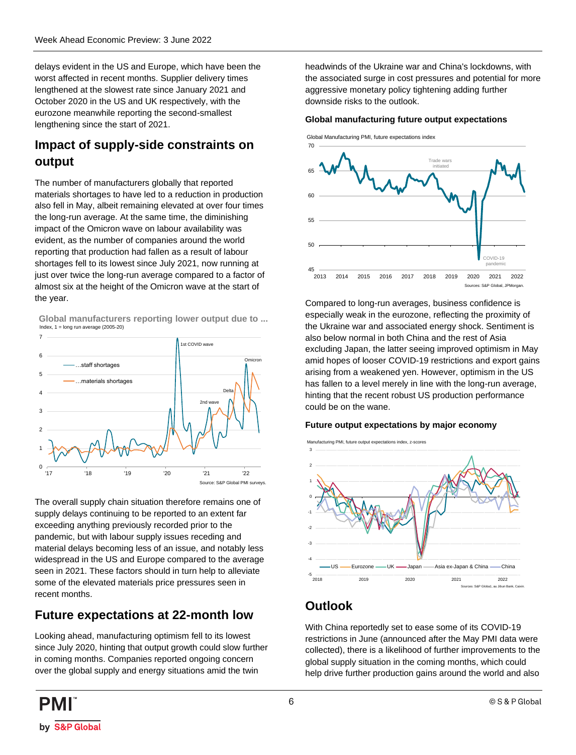delays evident in the US and Europe, which have been the worst affected in recent months. Supplier delivery times lengthened at the slowest rate since January 2021 and October 2020 in the US and UK respectively, with the eurozone meanwhile reporting the second-smallest lengthening since the start of 2021.

### **Impact of supply-side constraints on output**

The number of manufacturers globally that reported materials shortages to have led to a reduction in production also fell in May, albeit remaining elevated at over four times the long-run average. At the same time, the diminishing impact of the Omicron wave on labour availability was evident, as the number of companies around the world reporting that production had fallen as a result of labour shortages fell to its lowest since July 2021, now running at just over twice the long-run average compared to a factor of almost six at the height of the Omicron wave at the start of the year.

Index,  $1 = \log \text{run}$  average (2005-20) **Global manufacturers reporting lower output due to ...**



The overall supply chain situation therefore remains one of supply delays continuing to be reported to an extent far exceeding anything previously recorded prior to the pandemic, but with labour supply issues receding and material delays becoming less of an issue, and notably less widespread in the US and Europe compared to the average seen in 2021. These factors should in turn help to alleviate some of the elevated materials price pressures seen in recent months.

### **Future expectations at 22-month low**

Looking ahead, manufacturing optimism fell to its lowest since July 2020, hinting that output growth could slow further in coming months. Companies reported ongoing concern over the global supply and energy situations amid the twin

headwinds of the Ukraine war and China's lockdowns, with the associated surge in cost pressures and potential for more aggressive monetary policy tightening adding further downside risks to the outlook.

#### **Global manufacturing future output expectations**



Compared to long-run averages, business confidence is especially weak in the eurozone, reflecting the proximity of the Ukraine war and associated energy shock. Sentiment is also below normal in both China and the rest of Asia excluding Japan, the latter seeing improved optimism in May amid hopes of looser COVID-19 restrictions and export gains arising from a weakened yen. However, optimism in the US has fallen to a level merely in line with the long-run average, hinting that the recent robust US production performance could be on the wane.

### **Future output expectations by major economy**



### **Outlook**

With China reportedly set to ease some of its COVID-19 restrictions in June (announced after the May PMI data were collected), there is a likelihood of further improvements to the global supply situation in the coming months, which could help drive further production gains around the world and also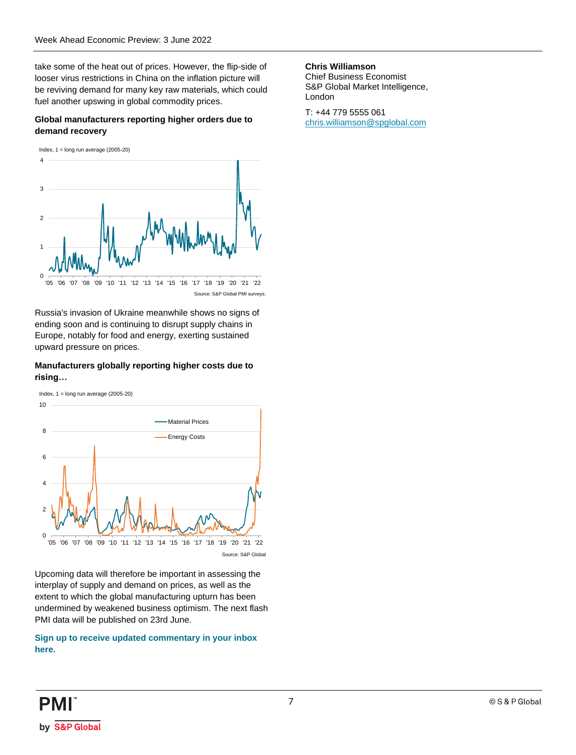take some of the heat out of prices. However, the flip-side of looser virus restrictions in China on the inflation picture will be reviving demand for many key raw materials, which could fuel another upswing in global commodity prices.

#### **Global manufacturers reporting higher orders due to demand recovery reports of all manufacturers**  $\boldsymbol{\theta}$

Index,  $1 = \log \text{run}$  average (2005-20) **demand recovery**



Russia's invasion of Ukraine meanwhile shows no signs of ending soon and is continuing to disrupt supply chains in Europe, notably for food and energy, exerting sustained upward pressure on prices.

#### **Manufacturers globally reporting higher costs due to rising…**



Upcoming data will therefore be important in assessing the interplay of supply and demand on prices, as well as the extent to which the global manufacturing upturn has been undermined by weakened business optimism. The next flash PMI data will be published on 23rd June.

#### **[Sign up to receive updated commentary in your inbox](https://ihsmarkit.com/Info/0220/subscription-pmi-blog.html)  [here.](https://ihsmarkit.com/Info/0220/subscription-pmi-blog.html)**

#### **Chris Williamson**

Chief Business Economist S&P Global Market Intelligence, London

T: +44 779 5555 061 [chris.williamson@spglobal.com](mailto:chris.williamson@spglobal.com)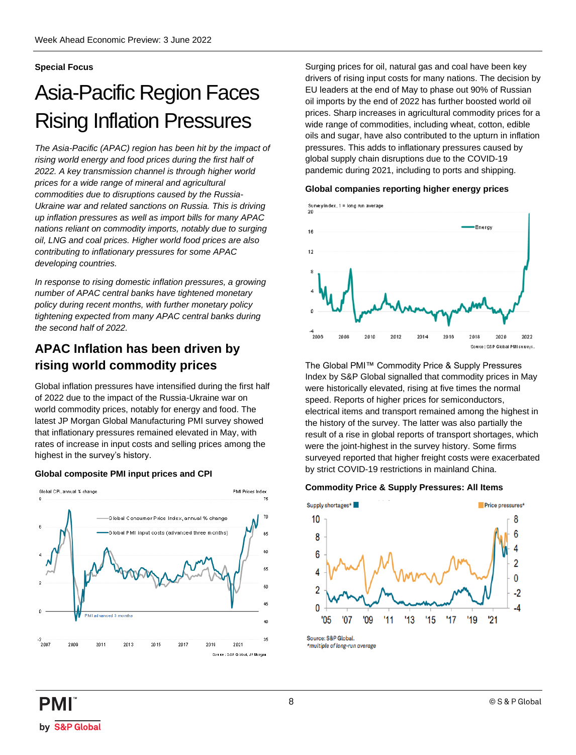### <span id="page-7-0"></span>**Special Focus**

## Asia-Pacific Region Faces Rising Inflation Pressures

*The Asia-Pacific (APAC) region has been hit by the impact of rising world energy and food prices during the first half of 2022. A key transmission channel is through higher world prices for a wide range of mineral and agricultural commodities due to disruptions caused by the Russia-Ukraine war and related sanctions on Russia. This is driving up inflation pressures as well as import bills for many APAC nations reliant on commodity imports, notably due to surging oil, LNG and coal prices. Higher world food prices are also contributing to inflationary pressures for some APAC developing countries.* 

*In response to rising domestic inflation pressures, a growing number of APAC central banks have tightened monetary policy during recent months, with further monetary policy tightening expected from many APAC central banks during the second half of 2022.* 

### **APAC Inflation has been driven by rising world commodity prices**

Global inflation pressures have intensified during the first half of 2022 due to the impact of the Russia-Ukraine war on world commodity prices, notably for energy and food. The latest JP Morgan Global Manufacturing PMI survey showed that inflationary pressures remained elevated in May, with rates of increase in input costs and selling prices among the highest in the survey's history.

### **Global composite PMI input prices and CPI**



Surging prices for oil, natural gas and coal have been key drivers of rising input costs for many nations. The decision by EU leaders at the end of May to phase out 90% of Russian oil imports by the end of 2022 has further boosted world oil prices. Sharp increases in agricultural commodity prices for a wide range of commodities, including wheat, cotton, edible oils and sugar, have also contributed to the upturn in inflation pressures. This adds to inflationary pressures caused by global supply chain disruptions due to the COVID-19 pandemic during 2021, including to ports and shipping.

#### **Global companies reporting higher energy prices**



The Global PMI™ Commodity Price & Supply Pressures Index by S&P Global signalled that commodity prices in May were historically elevated, rising at five times the normal speed. Reports of higher prices for semiconductors, electrical items and transport remained among the highest in the history of the survey. The latter was also partially the result of a rise in global reports of transport shortages, which were the joint-highest in the survey history. Some firms surveyed reported that higher freight costs were exacerbated by strict COVID-19 restrictions in mainland China.

#### **Commodity Price & Supply Pressures: All Items**



Source: S&P Global \*multiple of long-run average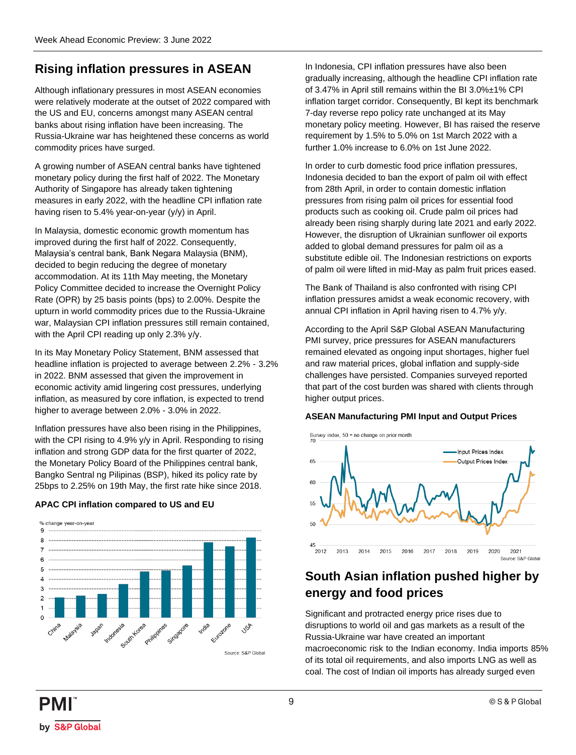### **Rising inflation pressures in ASEAN**

Although inflationary pressures in most ASEAN economies were relatively moderate at the outset of 2022 compared with the US and EU, concerns amongst many ASEAN central banks about rising inflation have been increasing. The Russia-Ukraine war has heightened these concerns as world commodity prices have surged.

A growing number of ASEAN central banks have tightened monetary policy during the first half of 2022. The Monetary Authority of Singapore has already taken tightening measures in early 2022, with the headline CPI inflation rate having risen to 5.4% year-on-year (y/y) in April.

In Malaysia, domestic economic growth momentum has improved during the first half of 2022. Consequently, Malaysia's central bank, Bank Negara Malaysia (BNM), decided to begin reducing the degree of monetary accommodation. At its 11th May meeting, the Monetary Policy Committee decided to increase the Overnight Policy Rate (OPR) by 25 basis points (bps) to 2.00%. Despite the upturn in world commodity prices due to the Russia-Ukraine war, Malaysian CPI inflation pressures still remain contained, with the April CPI reading up only 2.3% y/y.

In its May Monetary Policy Statement, BNM assessed that headline inflation is projected to average between 2.2% - 3.2% in 2022. BNM assessed that given the improvement in economic activity amid lingering cost pressures, underlying inflation, as measured by core inflation, is expected to trend higher to average between 2.0% - 3.0% in 2022.

Inflation pressures have also been rising in the Philippines, with the CPI rising to 4.9% y/y in April. Responding to rising inflation and strong GDP data for the first quarter of 2022, the Monetary Policy Board of the Philippines central bank, Bangko Sentral ng Pilipinas (BSP), hiked its policy rate by 25bps to 2.25% on 19th May, the first rate hike since 2018.

### **APAC CPI inflation compared to US and EU**



In Indonesia, CPI inflation pressures have also been gradually increasing, although the headline CPI inflation rate of 3.47% in April still remains within the BI 3.0%±1% CPI inflation target corridor. Consequently, BI kept its benchmark 7-day reverse repo policy rate unchanged at its May monetary policy meeting. However, BI has raised the reserve requirement by 1.5% to 5.0% on 1st March 2022 with a further 1.0% increase to 6.0% on 1st June 2022.

In order to curb domestic food price inflation pressures, Indonesia decided to ban the export of palm oil with effect from 28th April, in order to contain domestic inflation pressures from rising palm oil prices for essential food products such as cooking oil. Crude palm oil prices had already been rising sharply during late 2021 and early 2022. However, the disruption of Ukrainian sunflower oil exports added to global demand pressures for palm oil as a substitute edible oil. The Indonesian restrictions on exports of palm oil were lifted in mid-May as palm fruit prices eased.

The Bank of Thailand is also confronted with rising CPI inflation pressures amidst a weak economic recovery, with annual CPI inflation in April having risen to 4.7% y/y.

According to the April S&P Global ASEAN Manufacturing PMI survey, price pressures for ASEAN manufacturers remained elevated as ongoing input shortages, higher fuel and raw material prices, global inflation and supply-side challenges have persisted. Companies surveyed reported that part of the cost burden was shared with clients through higher output prices.

#### **ASEAN Manufacturing PMI Input and Output Prices**



### **South Asian inflation pushed higher by energy and food prices**

Significant and protracted energy price rises due to disruptions to world oil and gas markets as a result of the Russia-Ukraine war have created an important macroeconomic risk to the Indian economy. India imports 85% of its total oil requirements, and also imports LNG as well as coal. The cost of Indian oil imports has already surged even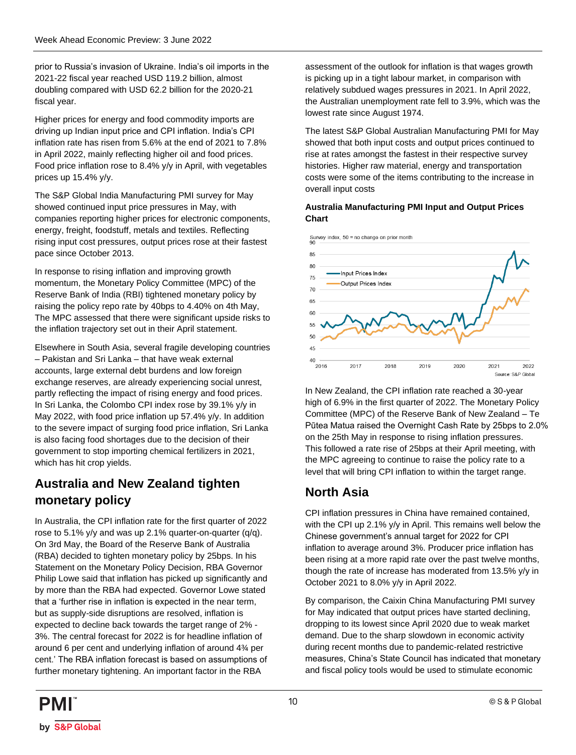prior to Russia's invasion of Ukraine. India's oil imports in the 2021-22 fiscal year reached USD 119.2 billion, almost doubling compared with USD 62.2 billion for the 2020-21 fiscal year.

Higher prices for energy and food commodity imports are driving up Indian input price and CPI inflation. India's CPI inflation rate has risen from 5.6% at the end of 2021 to 7.8% in April 2022, mainly reflecting higher oil and food prices. Food price inflation rose to 8.4% y/y in April, with vegetables prices up 15.4% y/y.

The S&P Global India Manufacturing PMI survey for May showed continued input price pressures in May, with companies reporting higher prices for electronic components, energy, freight, foodstuff, metals and textiles. Reflecting rising input cost pressures, output prices rose at their fastest pace since October 2013.

In response to rising inflation and improving growth momentum, the Monetary Policy Committee (MPC) of the Reserve Bank of India (RBI) tightened monetary policy by raising the policy repo rate by 40bps to 4.40% on 4th May, The MPC assessed that there were significant upside risks to the inflation trajectory set out in their April statement.

Elsewhere in South Asia, several fragile developing countries – Pakistan and Sri Lanka – that have weak external accounts, large external debt burdens and low foreign exchange reserves, are already experiencing social unrest, partly reflecting the impact of rising energy and food prices. In Sri Lanka, the Colombo CPI index rose by 39.1% y/y in May 2022, with food price inflation up 57.4% y/y. In addition to the severe impact of surging food price inflation, Sri Lanka is also facing food shortages due to the decision of their government to stop importing chemical fertilizers in 2021, which has hit crop yields.

### **Australia and New Zealand tighten monetary policy**

In Australia, the CPI inflation rate for the first quarter of 2022 rose to 5.1% y/y and was up 2.1% quarter-on-quarter (q/q). On 3rd May, the Board of the Reserve Bank of Australia (RBA) decided to tighten monetary policy by 25bps. In his Statement on the Monetary Policy Decision, RBA Governor Philip Lowe said that inflation has picked up significantly and by more than the RBA had expected. Governor Lowe stated that a 'further rise in inflation is expected in the near term, but as supply-side disruptions are resolved, inflation is expected to decline back towards the target range of 2% - 3%. The central forecast for 2022 is for headline inflation of around 6 per cent and underlying inflation of around 4¾ per cent.' The RBA inflation forecast is based on assumptions of further monetary tightening. An important factor in the RBA

assessment of the outlook for inflation is that wages growth is picking up in a tight labour market, in comparison with relatively subdued wages pressures in 2021. In April 2022, the Australian unemployment rate fell to 3.9%, which was the lowest rate since August 1974.

The latest S&P Global Australian Manufacturing PMI for May showed that both input costs and output prices continued to rise at rates amongst the fastest in their respective survey histories. Higher raw material, energy and transportation costs were some of the items contributing to the increase in overall input costs

### **Australia Manufacturing PMI Input and Output Prices Chart**



In New Zealand, the CPI inflation rate reached a 30-year high of 6.9% in the first quarter of 2022. The Monetary Policy Committee (MPC) of the Reserve Bank of New Zealand – Te Pūtea Matua raised the Overnight Cash Rate by 25bps to 2.0% on the 25th May in response to rising inflation pressures. This followed a rate rise of 25bps at their April meeting, with the MPC agreeing to continue to raise the policy rate to a level that will bring CPI inflation to within the target range.

## **North Asia**

CPI inflation pressures in China have remained contained, with the CPI up 2.1% y/y in April. This remains well below the Chinese government's annual target for 2022 for CPI inflation to average around 3%. Producer price inflation has been rising at a more rapid rate over the past twelve months, though the rate of increase has moderated from 13.5% y/y in October 2021 to 8.0% y/y in April 2022.

By comparison, the Caixin China Manufacturing PMI survey for May indicated that output prices have started declining, dropping to its lowest since April 2020 due to weak market demand. Due to the sharp slowdown in economic activity during recent months due to pandemic-related restrictive measures, China's State Council has indicated that monetary and fiscal policy tools would be used to stimulate economic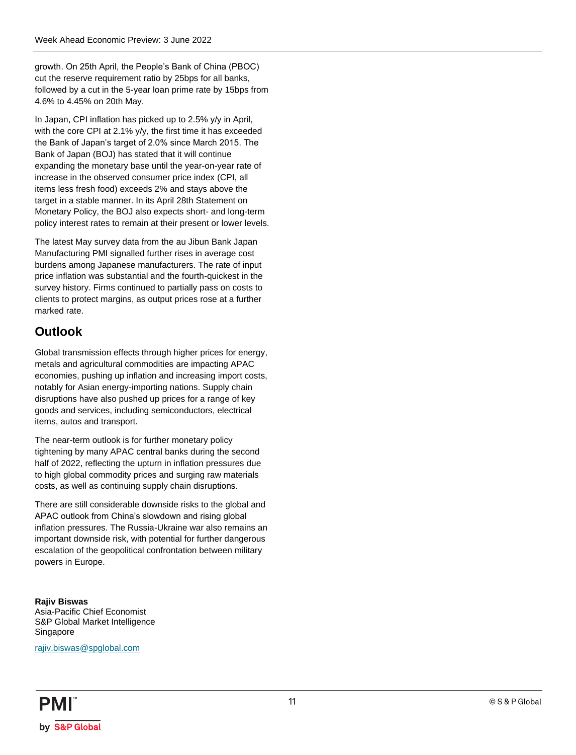growth. On 25th April, the People's Bank of China (PBOC) cut the reserve requirement ratio by 25bps for all banks, followed by a cut in the 5-year loan prime rate by 15bps from 4.6% to 4.45% on 20th May.

In Japan, CPI inflation has picked up to 2.5% y/y in April, with the core CPI at 2.1% y/y, the first time it has exceeded the Bank of Japan's target of 2.0% since March 2015. The Bank of Japan (BOJ) has stated that it will continue expanding the monetary base until the year-on-year rate of increase in the observed consumer price index (CPI, all items less fresh food) exceeds 2% and stays above the target in a stable manner. In its April 28th Statement on Monetary Policy, the BOJ also expects short- and long-term policy interest rates to remain at their present or lower levels.

The latest May survey data from the au Jibun Bank Japan Manufacturing PMI signalled further rises in average cost burdens among Japanese manufacturers. The rate of input price inflation was substantial and the fourth-quickest in the survey history. Firms continued to partially pass on costs to clients to protect margins, as output prices rose at a further marked rate.

### **Outlook**

Global transmission effects through higher prices for energy, metals and agricultural commodities are impacting APAC economies, pushing up inflation and increasing import costs, notably for Asian energy-importing nations. Supply chain disruptions have also pushed up prices for a range of key goods and services, including semiconductors, electrical items, autos and transport.

The near-term outlook is for further monetary policy tightening by many APAC central banks during the second half of 2022, reflecting the upturn in inflation pressures due to high global commodity prices and surging raw materials costs, as well as continuing supply chain disruptions.

There are still considerable downside risks to the global and APAC outlook from China's slowdown and rising global inflation pressures. The Russia-Ukraine war also remains an important downside risk, with potential for further dangerous escalation of the geopolitical confrontation between military powers in Europe.

**Rajiv Biswas** Asia-Pacific Chief Economist S&P Global Market Intelligence Singapore

[rajiv.biswas@spglobal.com](mailto:rajiv.biswas@spglobal.com)